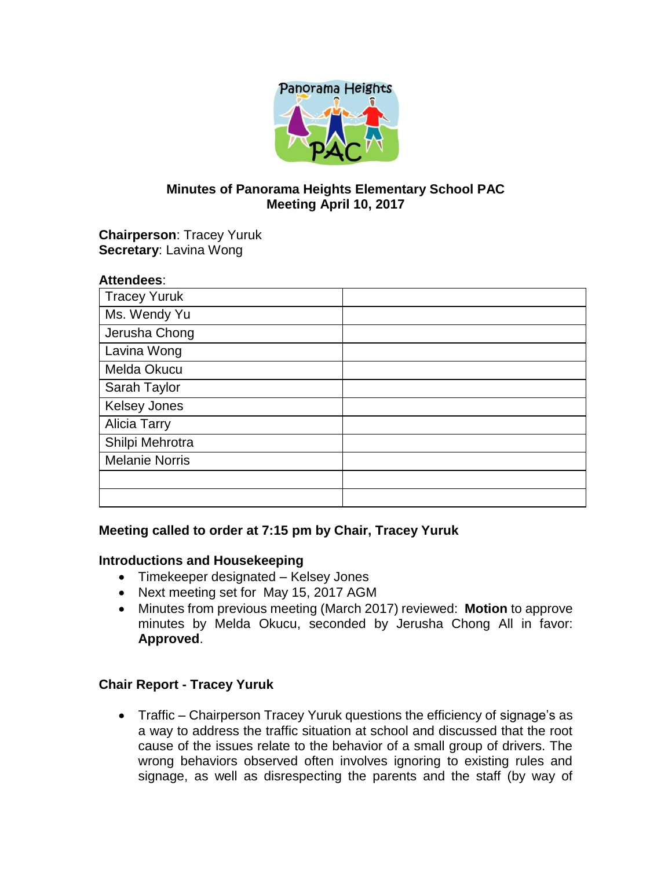

## **Minutes of Panorama Heights Elementary School PAC Meeting April 10, 2017**

**Chairperson**: Tracey Yuruk **Secretary**: Lavina Wong

| <b>Attendees:</b>     |  |
|-----------------------|--|
| <b>Tracey Yuruk</b>   |  |
| Ms. Wendy Yu          |  |
| Jerusha Chong         |  |
| Lavina Wong           |  |
| Melda Okucu           |  |
| Sarah Taylor          |  |
| <b>Kelsey Jones</b>   |  |
| <b>Alicia Tarry</b>   |  |
| Shilpi Mehrotra       |  |
| <b>Melanie Norris</b> |  |
|                       |  |
|                       |  |

### **Meeting called to order at 7:15 pm by Chair, Tracey Yuruk**

### **Introductions and Housekeeping**

- Timekeeper designated Kelsey Jones
- Next meeting set for May 15, 2017 AGM
- Minutes from previous meeting (March 2017) reviewed: **Motion** to approve minutes by Melda Okucu, seconded by Jerusha Chong All in favor: **Approved**.

### **Chair Report - Tracey Yuruk**

• Traffic – Chairperson Tracey Yuruk questions the efficiency of signage's as a way to address the traffic situation at school and discussed that the root cause of the issues relate to the behavior of a small group of drivers. The wrong behaviors observed often involves ignoring to existing rules and signage, as well as disrespecting the parents and the staff (by way of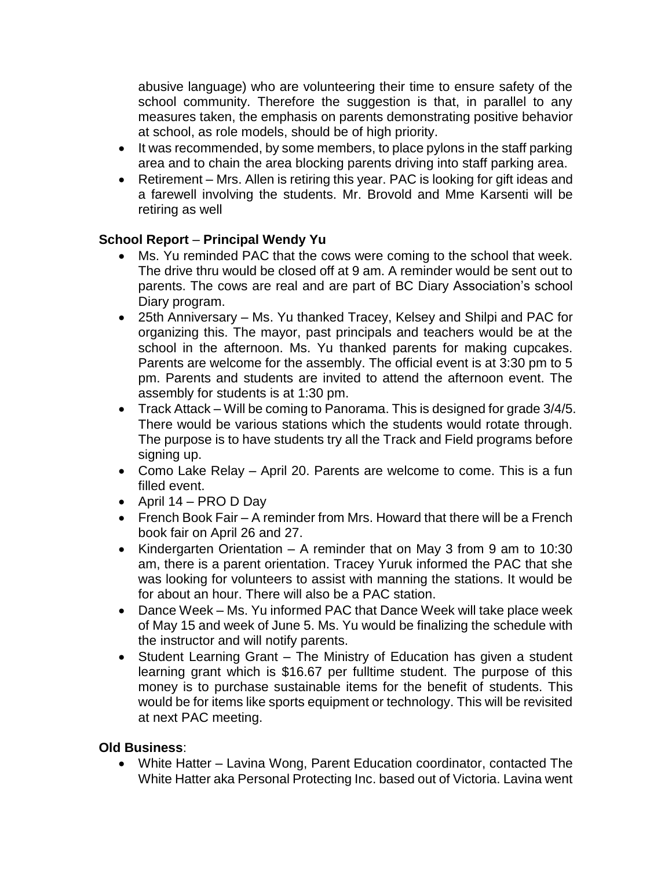abusive language) who are volunteering their time to ensure safety of the school community. Therefore the suggestion is that, in parallel to any measures taken, the emphasis on parents demonstrating positive behavior at school, as role models, should be of high priority.

- It was recommended, by some members, to place pylons in the staff parking area and to chain the area blocking parents driving into staff parking area.
- Retirement Mrs. Allen is retiring this year. PAC is looking for gift ideas and a farewell involving the students. Mr. Brovold and Mme Karsenti will be retiring as well

# **School Report** – **Principal Wendy Yu**

- Ms. Yu reminded PAC that the cows were coming to the school that week. The drive thru would be closed off at 9 am. A reminder would be sent out to parents. The cows are real and are part of BC Diary Association's school Diary program.
- 25th Anniversary Ms. Yu thanked Tracey, Kelsey and Shilpi and PAC for organizing this. The mayor, past principals and teachers would be at the school in the afternoon. Ms. Yu thanked parents for making cupcakes. Parents are welcome for the assembly. The official event is at 3:30 pm to 5 pm. Parents and students are invited to attend the afternoon event. The assembly for students is at 1:30 pm.
- Track Attack Will be coming to Panorama. This is designed for grade 3/4/5. There would be various stations which the students would rotate through. The purpose is to have students try all the Track and Field programs before signing up.
- Como Lake Relay April 20. Parents are welcome to come. This is a fun filled event.
- April 14 PRO D Day
- French Book Fair A reminder from Mrs. Howard that there will be a French book fair on April 26 and 27.
- Kindergarten Orientation A reminder that on May 3 from 9 am to 10:30 am, there is a parent orientation. Tracey Yuruk informed the PAC that she was looking for volunteers to assist with manning the stations. It would be for about an hour. There will also be a PAC station.
- Dance Week Ms. Yu informed PAC that Dance Week will take place week of May 15 and week of June 5. Ms. Yu would be finalizing the schedule with the instructor and will notify parents.
- Student Learning Grant The Ministry of Education has given a student learning grant which is \$16.67 per fulltime student. The purpose of this money is to purchase sustainable items for the benefit of students. This would be for items like sports equipment or technology. This will be revisited at next PAC meeting.

## **Old Business**:

• White Hatter – Lavina Wong, Parent Education coordinator, contacted The White Hatter aka Personal Protecting Inc. based out of Victoria. Lavina went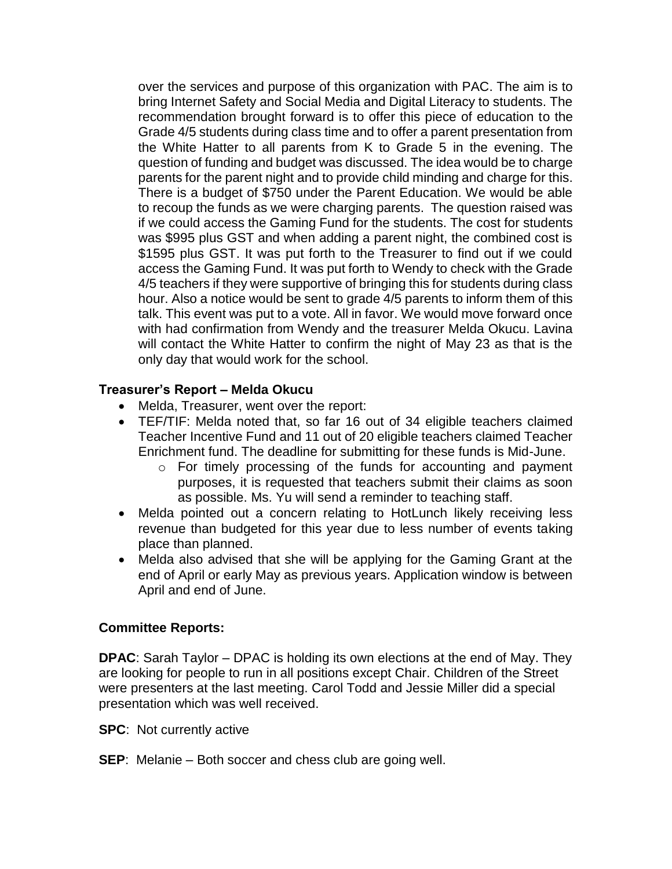over the services and purpose of this organization with PAC. The aim is to bring Internet Safety and Social Media and Digital Literacy to students. The recommendation brought forward is to offer this piece of education to the Grade 4/5 students during class time and to offer a parent presentation from the White Hatter to all parents from K to Grade 5 in the evening. The question of funding and budget was discussed. The idea would be to charge parents for the parent night and to provide child minding and charge for this. There is a budget of \$750 under the Parent Education. We would be able to recoup the funds as we were charging parents. The question raised was if we could access the Gaming Fund for the students. The cost for students was \$995 plus GST and when adding a parent night, the combined cost is \$1595 plus GST. It was put forth to the Treasurer to find out if we could access the Gaming Fund. It was put forth to Wendy to check with the Grade 4/5 teachers if they were supportive of bringing this for students during class hour. Also a notice would be sent to grade 4/5 parents to inform them of this talk. This event was put to a vote. All in favor. We would move forward once with had confirmation from Wendy and the treasurer Melda Okucu. Lavina will contact the White Hatter to confirm the night of May 23 as that is the only day that would work for the school.

## **Treasurer's Report – Melda Okucu**

- Melda, Treasurer, went over the report:
- TEF/TIF: Melda noted that, so far 16 out of 34 eligible teachers claimed Teacher Incentive Fund and 11 out of 20 eligible teachers claimed Teacher Enrichment fund. The deadline for submitting for these funds is Mid-June.
	- o For timely processing of the funds for accounting and payment purposes, it is requested that teachers submit their claims as soon as possible. Ms. Yu will send a reminder to teaching staff.
- Melda pointed out a concern relating to HotLunch likely receiving less revenue than budgeted for this year due to less number of events taking place than planned.
- Melda also advised that she will be applying for the Gaming Grant at the end of April or early May as previous years. Application window is between April and end of June.

### **Committee Reports:**

**DPAC**: Sarah Taylor – DPAC is holding its own elections at the end of May. They are looking for people to run in all positions except Chair. Children of the Street were presenters at the last meeting. Carol Todd and Jessie Miller did a special presentation which was well received.

**SPC**: Not currently active

**SEP**: Melanie – Both soccer and chess club are going well.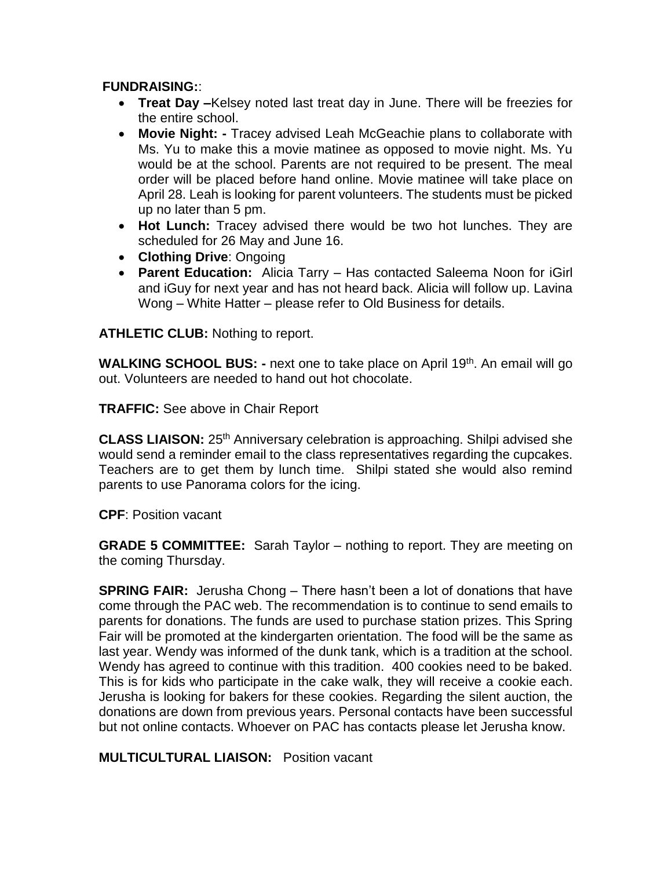### **FUNDRAISING:**:

- **Treat Day –**Kelsey noted last treat day in June. There will be freezies for the entire school.
- **Movie Night: -** Tracey advised Leah McGeachie plans to collaborate with Ms. Yu to make this a movie matinee as opposed to movie night. Ms. Yu would be at the school. Parents are not required to be present. The meal order will be placed before hand online. Movie matinee will take place on April 28. Leah is looking for parent volunteers. The students must be picked up no later than 5 pm.
- **Hot Lunch:** Tracey advised there would be two hot lunches. They are scheduled for 26 May and June 16.
- **Clothing Drive**: Ongoing
- **Parent Education:** Alicia Tarry Has contacted Saleema Noon for iGirl and iGuy for next year and has not heard back. Alicia will follow up. Lavina Wong – White Hatter – please refer to Old Business for details.

**ATHLETIC CLUB:** Nothing to report.

**WALKING SCHOOL BUS: -** next one to take place on April 19<sup>th</sup>. An email will go out. Volunteers are needed to hand out hot chocolate.

**TRAFFIC:** See above in Chair Report

**CLASS LIAISON:** 25th Anniversary celebration is approaching. Shilpi advised she would send a reminder email to the class representatives regarding the cupcakes. Teachers are to get them by lunch time. Shilpi stated she would also remind parents to use Panorama colors for the icing.

**CPF**: Position vacant

**GRADE 5 COMMITTEE:** Sarah Taylor – nothing to report. They are meeting on the coming Thursday.

**SPRING FAIR:** Jerusha Chong – There hasn't been a lot of donations that have come through the PAC web. The recommendation is to continue to send emails to parents for donations. The funds are used to purchase station prizes. This Spring Fair will be promoted at the kindergarten orientation. The food will be the same as last year. Wendy was informed of the dunk tank, which is a tradition at the school. Wendy has agreed to continue with this tradition. 400 cookies need to be baked. This is for kids who participate in the cake walk, they will receive a cookie each. Jerusha is looking for bakers for these cookies. Regarding the silent auction, the donations are down from previous years. Personal contacts have been successful but not online contacts. Whoever on PAC has contacts please let Jerusha know.

**MULTICULTURAL LIAISON:** Position vacant